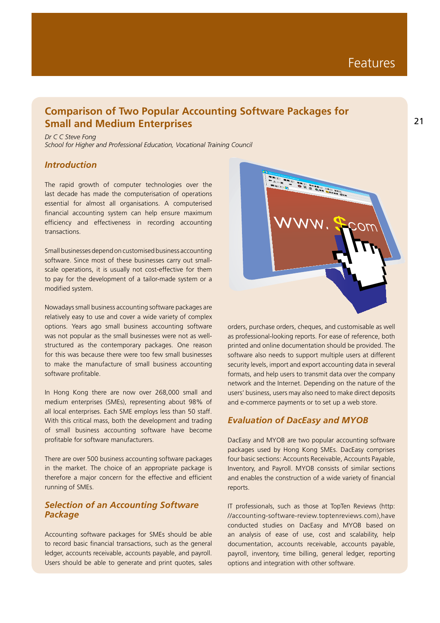# **Comparison of Two Popular Accounting Software Packages for Small and Medium Enterprises**

*Dr C C Steve Fong*

*School for Higher and Professional Education, Vocational Training Council*

## *Introduction*

The rapid growth of computer technologies over the last decade has made the computerisation of operations essential for almost all organisations. A computerised financial accounting system can help ensure maximum efficiency and effectiveness in recording accounting transactions.

Small businesses depend on customised business accounting software. Since most of these businesses carry out smallscale operations, it is usually not cost-effective for them to pay for the development of a tailor-made system or a modified system.

Nowadays small business accounting software packages are relatively easy to use and cover a wide variety of complex options. Years ago small business accounting software was not popular as the small businesses were not as wellstructured as the contemporary packages. One reason for this was because there were too few small businesses to make the manufacture of small business accounting software profitable.

In Hong Kong there are now over 268,000 small and medium enterprises (SMEs), representing about 98% of all local enterprises. Each SME employs less than 50 staff. With this critical mass, both the development and trading of small business accounting software have become profitable for software manufacturers.

There are over 500 business accounting software packages in the market. The choice of an appropriate package is therefore a major concern for the effective and efficient running of SMEs.

## *Selection of an Accounting Software Package*

Accounting software packages for SMEs should be able to record basic financial transactions, such as the general ledger, accounts receivable, accounts payable, and payroll. Users should be able to generate and print quotes, sales



orders, purchase orders, cheques, and customisable as well as professional-looking reports. For ease of reference, both printed and online documentation should be provided. The software also needs to support multiple users at different security levels, import and export accounting data in several formats, and help users to transmit data over the company network and the Internet. Depending on the nature of the users' business, users may also need to make direct deposits and e-commerce payments or to set up a web store.

## *Evaluation of DacEasy and MYOB*

DacEasy and MYOB are two popular accounting software packages used by Hong Kong SMEs. DacEasy comprises four basic sections: Accounts Receivable, Accounts Payable, Inventory, and Payroll. MYOB consists of similar sections and enables the construction of a wide variety of financial reports.

IT professionals, such as those at TopTen Reviews (http: //accounting-software-review.toptenreviews.com),have conducted studies on DacEasy and MYOB based on an analysis of ease of use, cost and scalability, help documentation, accounts receivable, accounts payable, payroll, inventory, time billing, general ledger, reporting options and integration with other software.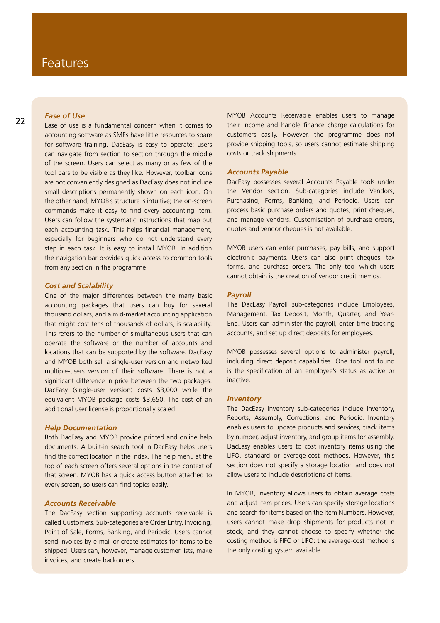# Features

**Ease of Use**<br> **22 Ease of use is a fundamental concern when it comes to** accounting software as SMEs have little resources to spare for software training. DacEasy is easy to operate; users can navigate from section to section through the middle of the screen. Users can select as many or as few of the tool bars to be visible as they like. However, toolbar icons are not conveniently designed as DacEasy does not include small descriptions permanently shown on each icon. On the other hand, MYOB's structure is intuitive; the on-screen commands make it easy to find every accounting item. Users can follow the systematic instructions that map out each accounting task. This helps financial management, especially for beginners who do not understand every step in each task. It is easy to install MYOB. In addition the navigation bar provides quick access to common tools from any section in the programme.

#### *Cost and Scalability*

One of the major differences between the many basic accounting packages that users can buy for several thousand dollars, and a mid-market accounting application that might cost tens of thousands of dollars, is scalability. This refers to the number of simultaneous users that can operate the software or the number of accounts and locations that can be supported by the software. DacEasy and MYOB both sell a single-user version and networked multiple-users version of their software. There is not a significant difference in price between the two packages. DacEasy (single-user version) costs \$3,000 while the equivalent MYOB package costs \$3,650. The cost of an additional user license is proportionally scaled.

### *Help Documentation*

Both DacEasy and MYOB provide printed and online help documents. A built-in search tool in DacEasy helps users find the correct location in the index. The help menu at the top of each screen offers several options in the context of that screen. MYOB has a quick access button attached to every screen, so users can find topics easily.

## *Accounts Receivable*

The DacEasy section supporting accounts receivable is called Customers. Sub-categories are Order Entry, Invoicing, Point of Sale, Forms, Banking, and Periodic. Users cannot send invoices by e-mail or create estimates for items to be shipped. Users can, however, manage customer lists, make invoices, and create backorders.

MYOB Accounts Receivable enables users to manage their income and handle finance charge calculations for customers easily. However, the programme does not provide shipping tools, so users cannot estimate shipping costs or track shipments.

#### *Accounts Payable*

DacEasy possesses several Accounts Payable tools under the Vendor section. Sub-categories include Vendors, Purchasing, Forms, Banking, and Periodic. Users can process basic purchase orders and quotes, print cheques, and manage vendors. Customisation of purchase orders, quotes and vendor cheques is not available.

MYOB users can enter purchases, pay bills, and support electronic payments. Users can also print cheques, tax forms, and purchase orders. The only tool which users cannot obtain is the creation of vendor credit memos.

### *Payroll*

The DacEasy Payroll sub-categories include Employees, Management, Tax Deposit, Month, Quarter, and Year-End. Users can administer the payroll, enter time-tracking accounts, and set up direct deposits for employees.

MYOB possesses several options to administer payroll, including direct deposit capabilities. One tool not found is the specification of an employee's status as active or inactive.

### *Inventory*

The DacEasy Inventory sub-categories include Inventory, Reports, Assembly, Corrections, and Periodic. Inventory enables users to update products and services, track items by number, adjust inventory, and group items for assembly. DacEasy enables users to cost inventory items using the LIFO, standard or average-cost methods. However, this section does not specify a storage location and does not allow users to include descriptions of items.

In MYOB, Inventory allows users to obtain average costs and adjust item prices. Users can specify storage locations and search for items based on the Item Numbers. However, users cannot make drop shipments for products not in stock, and they cannot choose to specify whether the costing method is FIFO or LIFO: the average-cost method is the only costing system available.